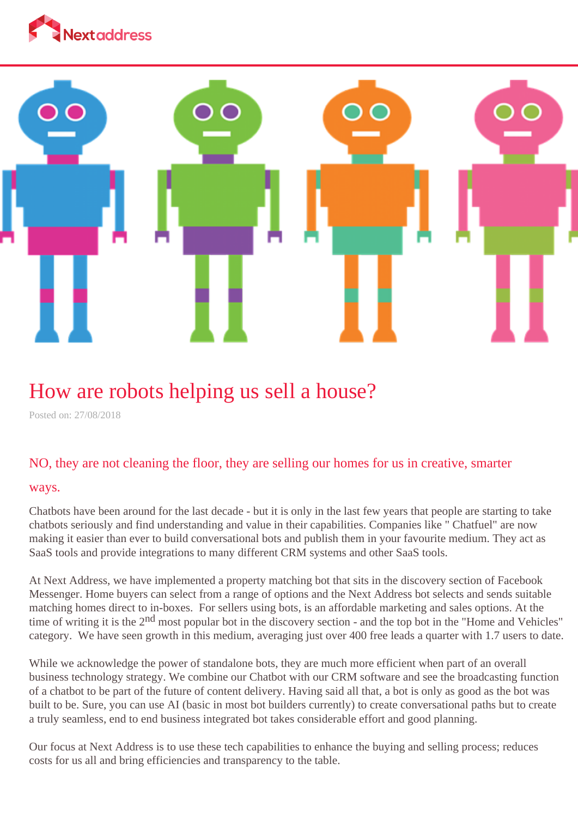



## How are robots helping us sell a house?

Posted on: 27/08/2018

## NO, they are not cleaning the floor, they are selling our homes for us in creative, smarter

## ways.

Chatbots have been around for the last decade - but it is only in the last few years that people are starting to take chatbots seriously and find understanding and value in their capabilities. Companies like " Chatfuel" are now making it easier than ever to build conversational bots and publish them in your favourite medium. They act as SaaS tools and provide integrations to many different CRM systems and other SaaS tools.

At Next Address, we have implemented a property matching bot that sits in the discovery section of Facebook Messenger. Home buyers can select from a range of options and the Next Address bot selects and sends suitable matching homes direct to in-boxes. For sellers using bots, is an affordable marketing and sales options. At the time of writing it is the 2<sup>nd</sup> most popular bot in the discovery section - and the top bot in the "Home and Vehicles" category. We have seen growth in this medium, averaging just over 400 free leads a quarter with 1.7 users to date.

While we acknowledge the power of standalone bots, they are much more efficient when part of an overall business technology strategy. We combine our Chatbot with our CRM software and see the broadcasting function of a chatbot to be part of the future of content delivery. Having said all that, a bot is only as good as the bot was built to be. Sure, you can use AI (basic in most bot builders currently) to create conversational paths but to create a truly seamless, end to end business integrated bot takes considerable effort and good planning.

Our focus at Next Address is to use these tech capabilities to enhance the buying and selling process; reduces costs for us all and bring efficiencies and transparency to the table.